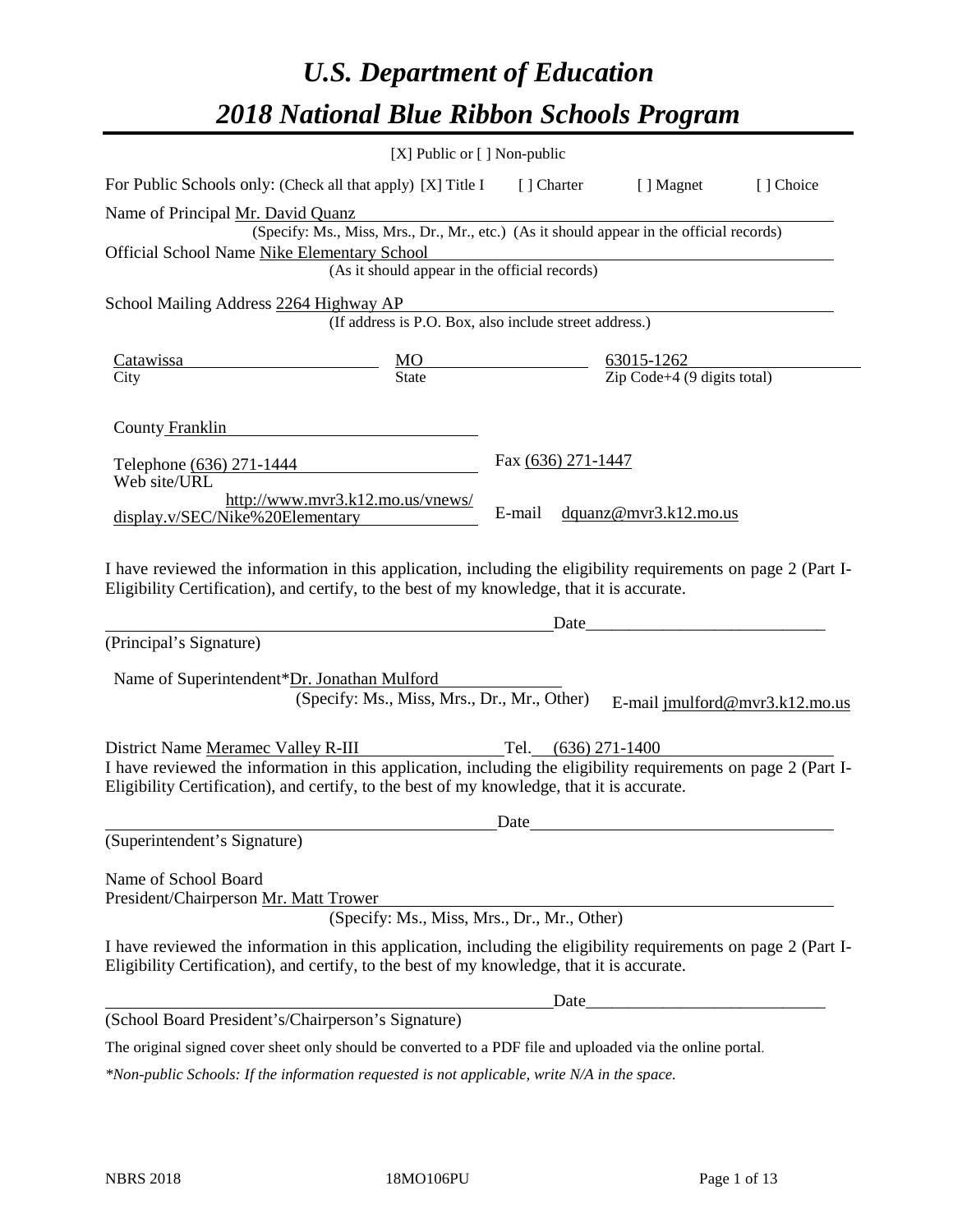# *U.S. Department of Education 2018 National Blue Ribbon Schools Program*

|                                                                                                                                                                                                              | [X] Public or [] Non-public                                                              |                    |                                            |                                |
|--------------------------------------------------------------------------------------------------------------------------------------------------------------------------------------------------------------|------------------------------------------------------------------------------------------|--------------------|--------------------------------------------|--------------------------------|
| For Public Schools only: (Check all that apply) [X] Title I                                                                                                                                                  |                                                                                          | [ ] Charter        | [ ] Magnet                                 | [] Choice                      |
| Name of Principal Mr. David Quanz                                                                                                                                                                            |                                                                                          |                    |                                            |                                |
|                                                                                                                                                                                                              | (Specify: Ms., Miss, Mrs., Dr., Mr., etc.) (As it should appear in the official records) |                    |                                            |                                |
| Official School Name Nike Elementary School                                                                                                                                                                  |                                                                                          |                    |                                            |                                |
|                                                                                                                                                                                                              | (As it should appear in the official records)                                            |                    |                                            |                                |
| School Mailing Address 2264 Highway AP                                                                                                                                                                       |                                                                                          |                    |                                            |                                |
|                                                                                                                                                                                                              | (If address is P.O. Box, also include street address.)                                   |                    |                                            |                                |
| MO<br>Catawissa<br>63015-1262                                                                                                                                                                                |                                                                                          |                    |                                            |                                |
| City                                                                                                                                                                                                         | <b>State</b>                                                                             |                    | $\overline{Zip Code + 4}$ (9 digits total) |                                |
|                                                                                                                                                                                                              |                                                                                          |                    |                                            |                                |
| County Franklin                                                                                                                                                                                              |                                                                                          |                    |                                            |                                |
|                                                                                                                                                                                                              |                                                                                          | Fax (636) 271-1447 |                                            |                                |
| Telephone (636) 271-1444<br>Web site/URL                                                                                                                                                                     |                                                                                          |                    |                                            |                                |
|                                                                                                                                                                                                              | http://www.mvr3.k12.mo.us/vnews/                                                         |                    |                                            |                                |
| display.v/SEC/Nike%20Elementary                                                                                                                                                                              |                                                                                          | E-mail             | dquanz@mvr3.k12.mo.us                      |                                |
| (Principal's Signature)<br>Name of Superintendent*Dr. Jonathan Mulford                                                                                                                                       | (Specify: Ms., Miss, Mrs., Dr., Mr., Other)                                              | Date               |                                            | E-mail jmulford@mvr3.k12.mo.us |
| District Name Meramec Valley R-III                                                                                                                                                                           |                                                                                          | Tel.               | $(636)$ 271-1400                           |                                |
| I have reviewed the information in this application, including the eligibility requirements on page 2 (Part I-                                                                                               |                                                                                          |                    |                                            |                                |
| Eligibility Certification), and certify, to the best of my knowledge, that it is accurate.                                                                                                                   |                                                                                          |                    |                                            |                                |
|                                                                                                                                                                                                              |                                                                                          | Date               |                                            |                                |
| (Superintendent's Signature)                                                                                                                                                                                 |                                                                                          |                    |                                            |                                |
|                                                                                                                                                                                                              |                                                                                          |                    |                                            |                                |
| Name of School Board                                                                                                                                                                                         |                                                                                          |                    |                                            |                                |
| President/Chairperson Mr. Matt Trower                                                                                                                                                                        | (Specify: Ms., Miss, Mrs., Dr., Mr., Other)                                              |                    |                                            |                                |
|                                                                                                                                                                                                              |                                                                                          |                    |                                            |                                |
| I have reviewed the information in this application, including the eligibility requirements on page 2 (Part I-<br>Eligibility Certification), and certify, to the best of my knowledge, that it is accurate. |                                                                                          |                    |                                            |                                |
|                                                                                                                                                                                                              |                                                                                          | Date               |                                            |                                |
| (School Board President's/Chairperson's Signature)                                                                                                                                                           |                                                                                          |                    |                                            |                                |
| The original signed cover sheet only should be converted to a PDF file and uploaded via the online portal.                                                                                                   |                                                                                          |                    |                                            |                                |

*\*Non-public Schools: If the information requested is not applicable, write N/A in the space.*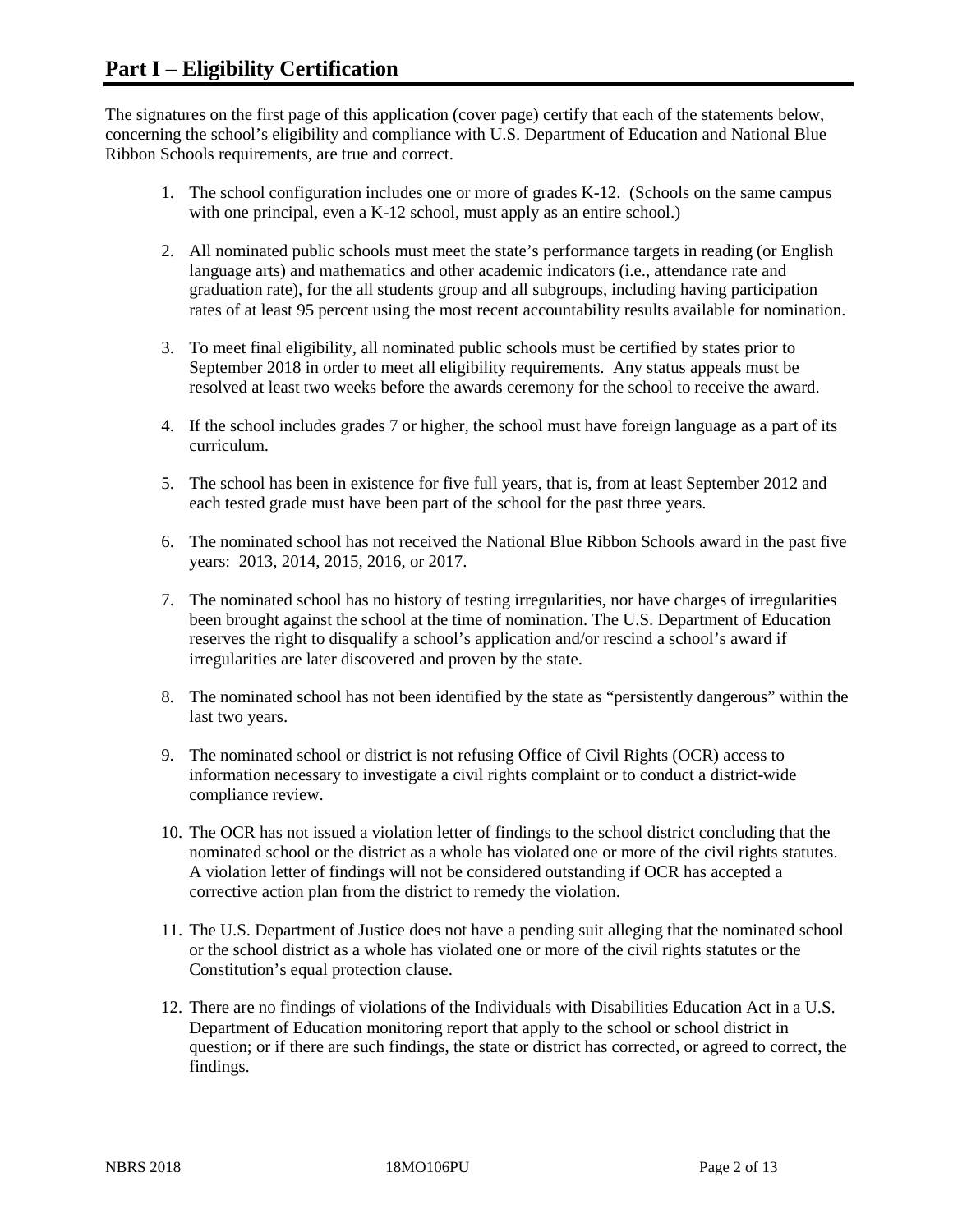The signatures on the first page of this application (cover page) certify that each of the statements below, concerning the school's eligibility and compliance with U.S. Department of Education and National Blue Ribbon Schools requirements, are true and correct.

- 1. The school configuration includes one or more of grades K-12. (Schools on the same campus with one principal, even a K-12 school, must apply as an entire school.)
- 2. All nominated public schools must meet the state's performance targets in reading (or English language arts) and mathematics and other academic indicators (i.e., attendance rate and graduation rate), for the all students group and all subgroups, including having participation rates of at least 95 percent using the most recent accountability results available for nomination.
- 3. To meet final eligibility, all nominated public schools must be certified by states prior to September 2018 in order to meet all eligibility requirements. Any status appeals must be resolved at least two weeks before the awards ceremony for the school to receive the award.
- 4. If the school includes grades 7 or higher, the school must have foreign language as a part of its curriculum.
- 5. The school has been in existence for five full years, that is, from at least September 2012 and each tested grade must have been part of the school for the past three years.
- 6. The nominated school has not received the National Blue Ribbon Schools award in the past five years: 2013, 2014, 2015, 2016, or 2017.
- 7. The nominated school has no history of testing irregularities, nor have charges of irregularities been brought against the school at the time of nomination. The U.S. Department of Education reserves the right to disqualify a school's application and/or rescind a school's award if irregularities are later discovered and proven by the state.
- 8. The nominated school has not been identified by the state as "persistently dangerous" within the last two years.
- 9. The nominated school or district is not refusing Office of Civil Rights (OCR) access to information necessary to investigate a civil rights complaint or to conduct a district-wide compliance review.
- 10. The OCR has not issued a violation letter of findings to the school district concluding that the nominated school or the district as a whole has violated one or more of the civil rights statutes. A violation letter of findings will not be considered outstanding if OCR has accepted a corrective action plan from the district to remedy the violation.
- 11. The U.S. Department of Justice does not have a pending suit alleging that the nominated school or the school district as a whole has violated one or more of the civil rights statutes or the Constitution's equal protection clause.
- 12. There are no findings of violations of the Individuals with Disabilities Education Act in a U.S. Department of Education monitoring report that apply to the school or school district in question; or if there are such findings, the state or district has corrected, or agreed to correct, the findings.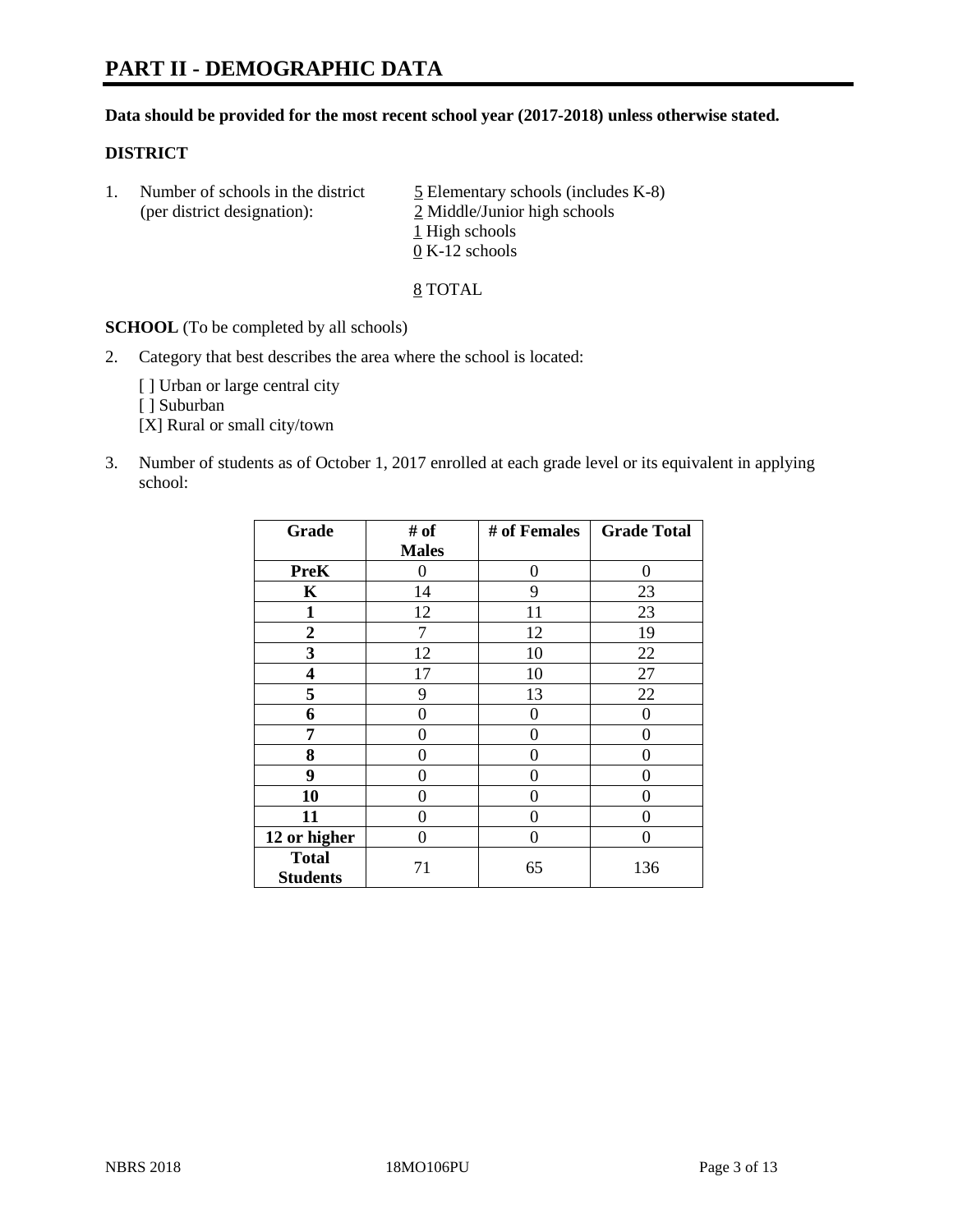#### **Data should be provided for the most recent school year (2017-2018) unless otherwise stated.**

#### **DISTRICT**

1. Number of schools in the district  $\frac{5}{2}$  Elementary schools (includes K-8) (per district designation): 2 Middle/Junior high schools 1 High schools 0 K-12 schools

8 TOTAL

**SCHOOL** (To be completed by all schools)

2. Category that best describes the area where the school is located:

[] Urban or large central city

[ ] Suburban

[X] Rural or small city/town

3. Number of students as of October 1, 2017 enrolled at each grade level or its equivalent in applying school:

| Grade                           | # of         | # of Females | <b>Grade Total</b> |
|---------------------------------|--------------|--------------|--------------------|
|                                 | <b>Males</b> |              |                    |
| <b>PreK</b>                     | 0            | 0            | 0                  |
| K                               | 14           | 9            | 23                 |
| $\mathbf{1}$                    | 12           | 11           | 23                 |
| $\overline{2}$                  | 7            | 12           | 19                 |
| 3                               | 12           | 10           | 22                 |
| 4                               | 17           | 10           | 27                 |
| 5                               | 9            | 13           | 22                 |
| 6                               | 0            | 0            | 0                  |
| 7                               | 0            | 0            | 0                  |
| 8                               | 0            | 0            | 0                  |
| 9                               | 0            | 0            | 0                  |
| 10                              | 0            | 0            | 0                  |
| 11                              | 0            | 0            | 0                  |
| 12 or higher                    | 0            | 0            | 0                  |
| <b>Total</b><br><b>Students</b> | 71           | 65           | 136                |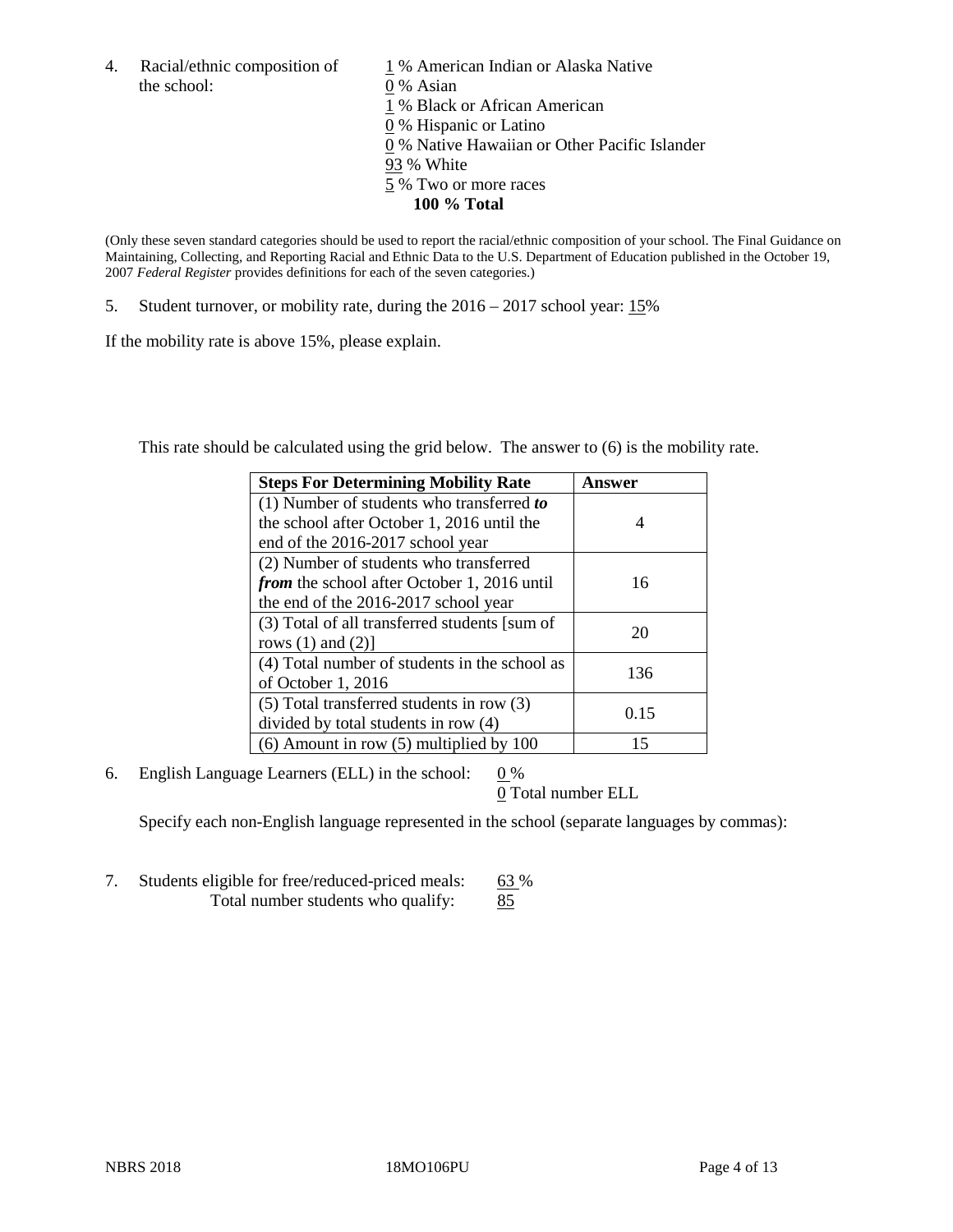the school: 0 % Asian

4. Racial/ethnic composition of  $1\%$  American Indian or Alaska Native 1 % Black or African American 0 % Hispanic or Latino 0 % Native Hawaiian or Other Pacific Islander 93 % White 5 % Two or more races **100 % Total**

(Only these seven standard categories should be used to report the racial/ethnic composition of your school. The Final Guidance on Maintaining, Collecting, and Reporting Racial and Ethnic Data to the U.S. Department of Education published in the October 19, 2007 *Federal Register* provides definitions for each of the seven categories.)

5. Student turnover, or mobility rate, during the 2016 – 2017 school year: 15%

If the mobility rate is above 15%, please explain.

This rate should be calculated using the grid below. The answer to (6) is the mobility rate.

| <b>Steps For Determining Mobility Rate</b>         | Answer |
|----------------------------------------------------|--------|
| $(1)$ Number of students who transferred to        |        |
| the school after October 1, 2016 until the         | 4      |
| end of the 2016-2017 school year                   |        |
| (2) Number of students who transferred             |        |
| <i>from</i> the school after October 1, 2016 until | 16     |
| the end of the 2016-2017 school year               |        |
| (3) Total of all transferred students [sum of      | 20     |
| rows $(1)$ and $(2)$ ]                             |        |
| (4) Total number of students in the school as      |        |
| of October 1, 2016                                 | 136    |
| (5) Total transferred students in row (3)          |        |
| divided by total students in row (4)               | 0.15   |
| $(6)$ Amount in row $(5)$ multiplied by 100        | 15     |

6. English Language Learners (ELL) in the school:  $0\%$ 

0 Total number ELL

Specify each non-English language represented in the school (separate languages by commas):

7. Students eligible for free/reduced-priced meals: 63 % Total number students who qualify: 85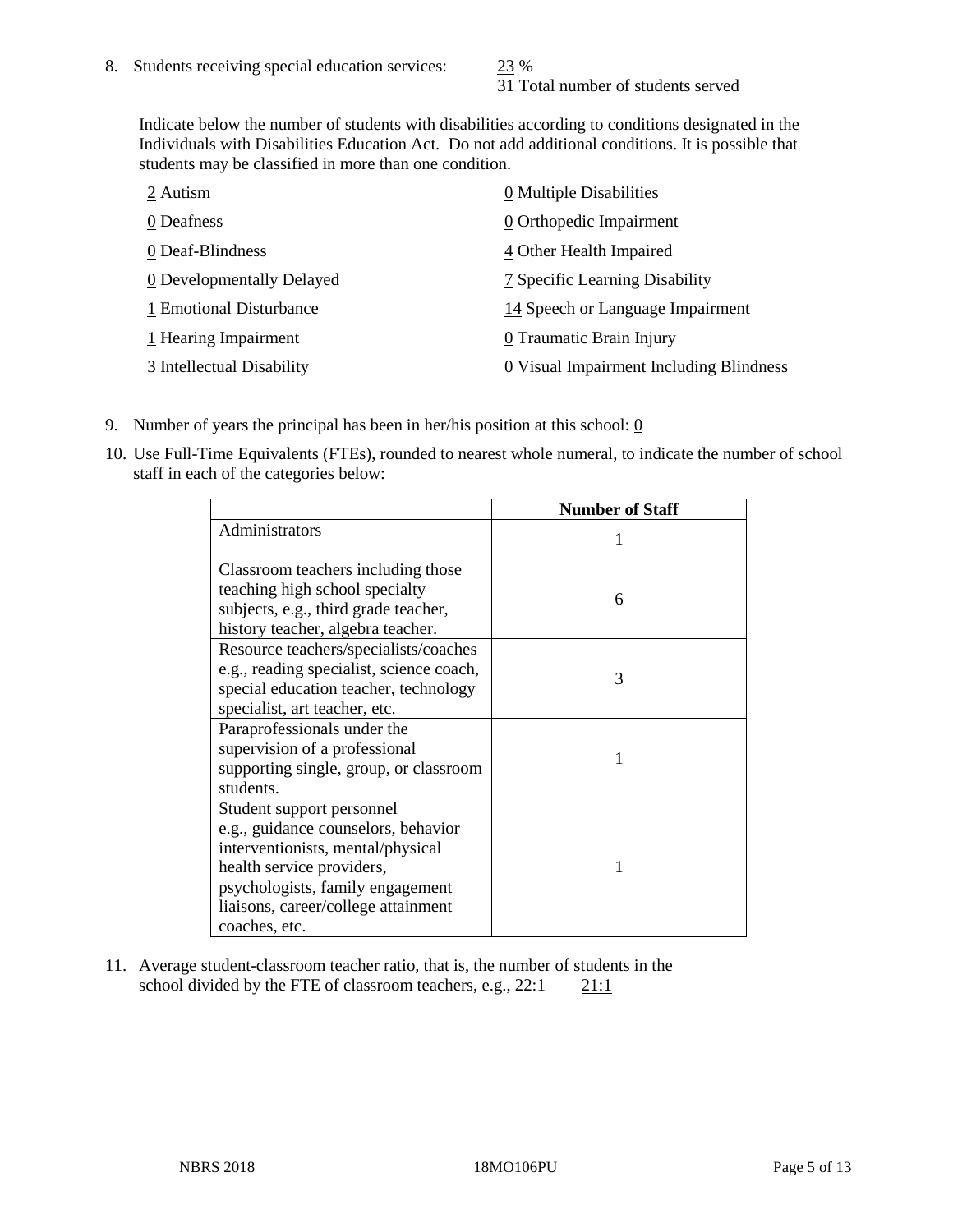31 Total number of students served

Indicate below the number of students with disabilities according to conditions designated in the Individuals with Disabilities Education Act. Do not add additional conditions. It is possible that students may be classified in more than one condition.

| 2 Autism                  | 0 Multiple Disabilities                 |
|---------------------------|-----------------------------------------|
| 0 Deafness                | 0 Orthopedic Impairment                 |
| 0 Deaf-Blindness          | 4 Other Health Impaired                 |
| 0 Developmentally Delayed | 7 Specific Learning Disability          |
| 1 Emotional Disturbance   | 14 Speech or Language Impairment        |
| 1 Hearing Impairment      | 0 Traumatic Brain Injury                |
| 3 Intellectual Disability | 0 Visual Impairment Including Blindness |

- 9. Number of years the principal has been in her/his position at this school:  $\underline{0}$
- 10. Use Full-Time Equivalents (FTEs), rounded to nearest whole numeral, to indicate the number of school staff in each of the categories below:

|                                                                                                                                                                                                                                | <b>Number of Staff</b> |
|--------------------------------------------------------------------------------------------------------------------------------------------------------------------------------------------------------------------------------|------------------------|
| Administrators                                                                                                                                                                                                                 |                        |
| Classroom teachers including those<br>teaching high school specialty<br>subjects, e.g., third grade teacher,<br>history teacher, algebra teacher.                                                                              | 6                      |
| Resource teachers/specialists/coaches<br>e.g., reading specialist, science coach,<br>special education teacher, technology<br>specialist, art teacher, etc.                                                                    | 3                      |
| Paraprofessionals under the<br>supervision of a professional<br>supporting single, group, or classroom<br>students.                                                                                                            | 1                      |
| Student support personnel<br>e.g., guidance counselors, behavior<br>interventionists, mental/physical<br>health service providers,<br>psychologists, family engagement<br>liaisons, career/college attainment<br>coaches, etc. |                        |

11. Average student-classroom teacher ratio, that is, the number of students in the school divided by the FTE of classroom teachers, e.g.,  $22:1$  21:1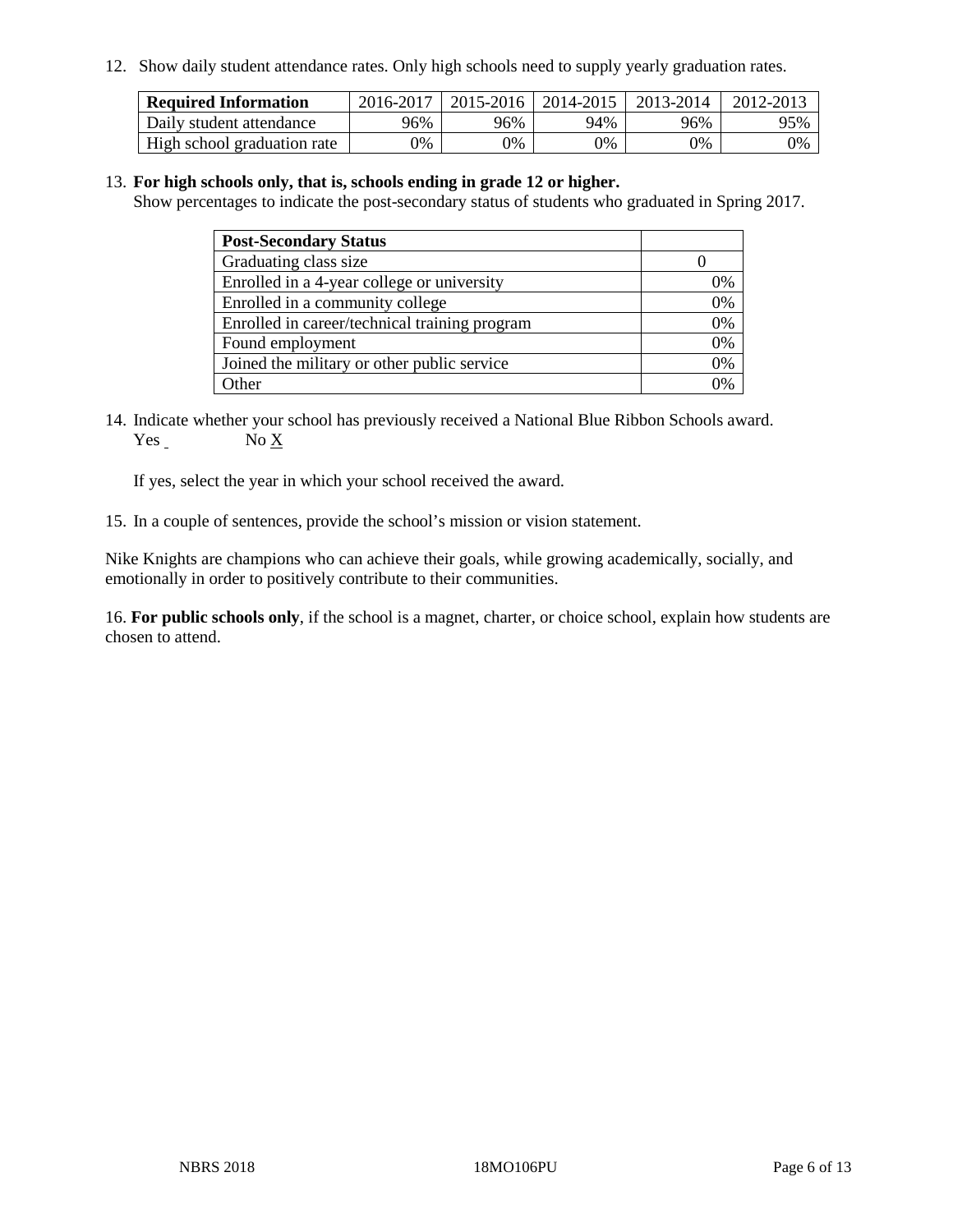12. Show daily student attendance rates. Only high schools need to supply yearly graduation rates.

| <b>Required Information</b> | 2016-2017 | $2015 - 2016$ | 2014-2015 | 2013-2014 | 2012-2013 |
|-----------------------------|-----------|---------------|-----------|-----------|-----------|
| Daily student attendance    | 96%       | 96%           | 94%       | 96%       | 95%       |
| High school graduation rate | 0%        | 0%            | 0%        | 9%        | 0%        |

#### 13. **For high schools only, that is, schools ending in grade 12 or higher.**

Show percentages to indicate the post-secondary status of students who graduated in Spring 2017.

| <b>Post-Secondary Status</b>                  |              |
|-----------------------------------------------|--------------|
| Graduating class size                         |              |
| Enrolled in a 4-year college or university    | 0%           |
| Enrolled in a community college               | 0%           |
| Enrolled in career/technical training program | 0%           |
| Found employment                              | 0%           |
| Joined the military or other public service   | 0%           |
| Other                                         | $\gamma_{0}$ |

14. Indicate whether your school has previously received a National Blue Ribbon Schools award. Yes No X

If yes, select the year in which your school received the award.

15. In a couple of sentences, provide the school's mission or vision statement.

Nike Knights are champions who can achieve their goals, while growing academically, socially, and emotionally in order to positively contribute to their communities.

16. **For public schools only**, if the school is a magnet, charter, or choice school, explain how students are chosen to attend.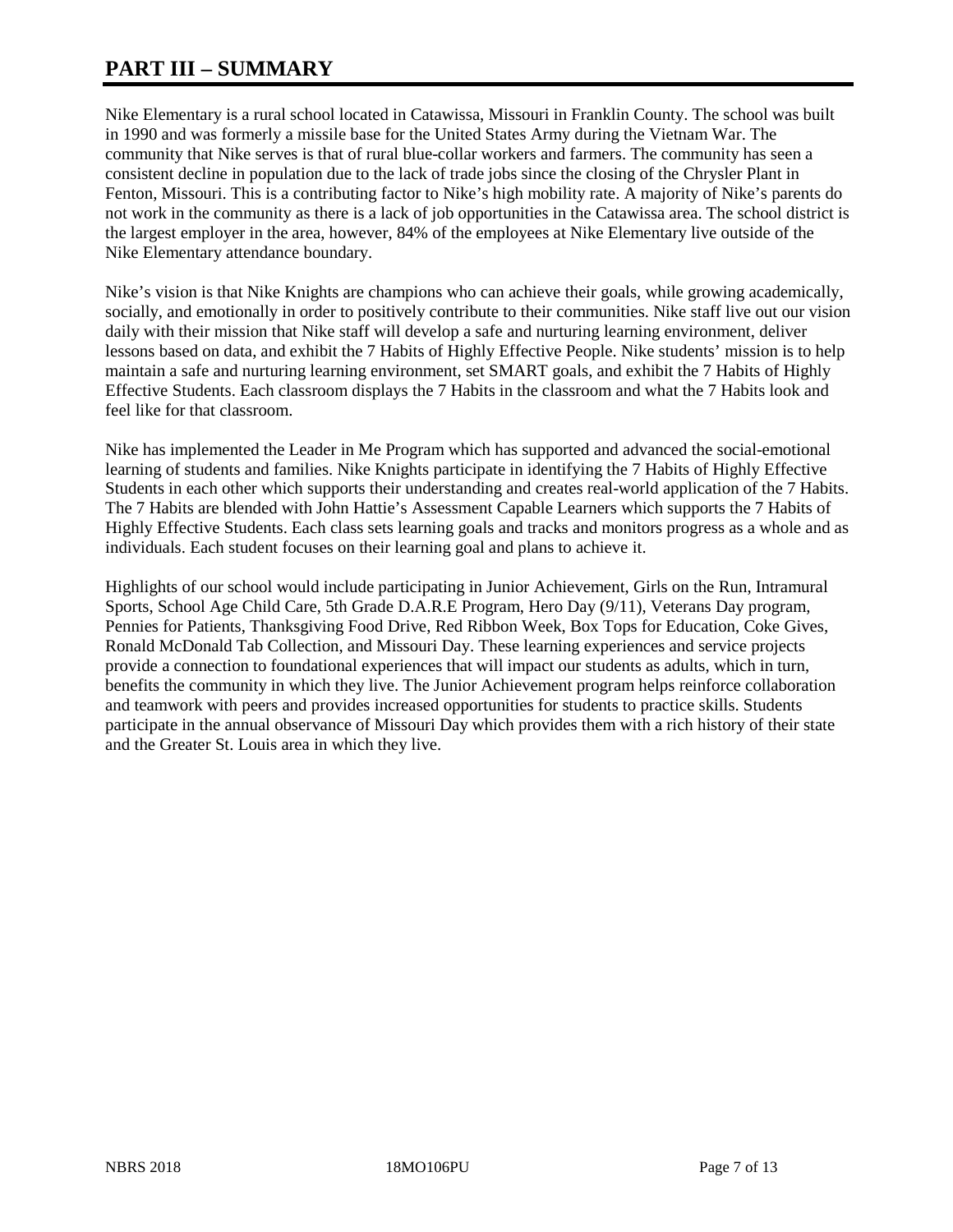## **PART III – SUMMARY**

Nike Elementary is a rural school located in Catawissa, Missouri in Franklin County. The school was built in 1990 and was formerly a missile base for the United States Army during the Vietnam War. The community that Nike serves is that of rural blue-collar workers and farmers. The community has seen a consistent decline in population due to the lack of trade jobs since the closing of the Chrysler Plant in Fenton, Missouri. This is a contributing factor to Nike's high mobility rate. A majority of Nike's parents do not work in the community as there is a lack of job opportunities in the Catawissa area. The school district is the largest employer in the area, however, 84% of the employees at Nike Elementary live outside of the Nike Elementary attendance boundary.

Nike's vision is that Nike Knights are champions who can achieve their goals, while growing academically, socially, and emotionally in order to positively contribute to their communities. Nike staff live out our vision daily with their mission that Nike staff will develop a safe and nurturing learning environment, deliver lessons based on data, and exhibit the 7 Habits of Highly Effective People. Nike students' mission is to help maintain a safe and nurturing learning environment, set SMART goals, and exhibit the 7 Habits of Highly Effective Students. Each classroom displays the 7 Habits in the classroom and what the 7 Habits look and feel like for that classroom.

Nike has implemented the Leader in Me Program which has supported and advanced the social-emotional learning of students and families. Nike Knights participate in identifying the 7 Habits of Highly Effective Students in each other which supports their understanding and creates real-world application of the 7 Habits. The 7 Habits are blended with John Hattie's Assessment Capable Learners which supports the 7 Habits of Highly Effective Students. Each class sets learning goals and tracks and monitors progress as a whole and as individuals. Each student focuses on their learning goal and plans to achieve it.

Highlights of our school would include participating in Junior Achievement, Girls on the Run, Intramural Sports, School Age Child Care, 5th Grade D.A.R.E Program, Hero Day (9/11), Veterans Day program, Pennies for Patients, Thanksgiving Food Drive, Red Ribbon Week, Box Tops for Education, Coke Gives, Ronald McDonald Tab Collection, and Missouri Day. These learning experiences and service projects provide a connection to foundational experiences that will impact our students as adults, which in turn, benefits the community in which they live. The Junior Achievement program helps reinforce collaboration and teamwork with peers and provides increased opportunities for students to practice skills. Students participate in the annual observance of Missouri Day which provides them with a rich history of their state and the Greater St. Louis area in which they live.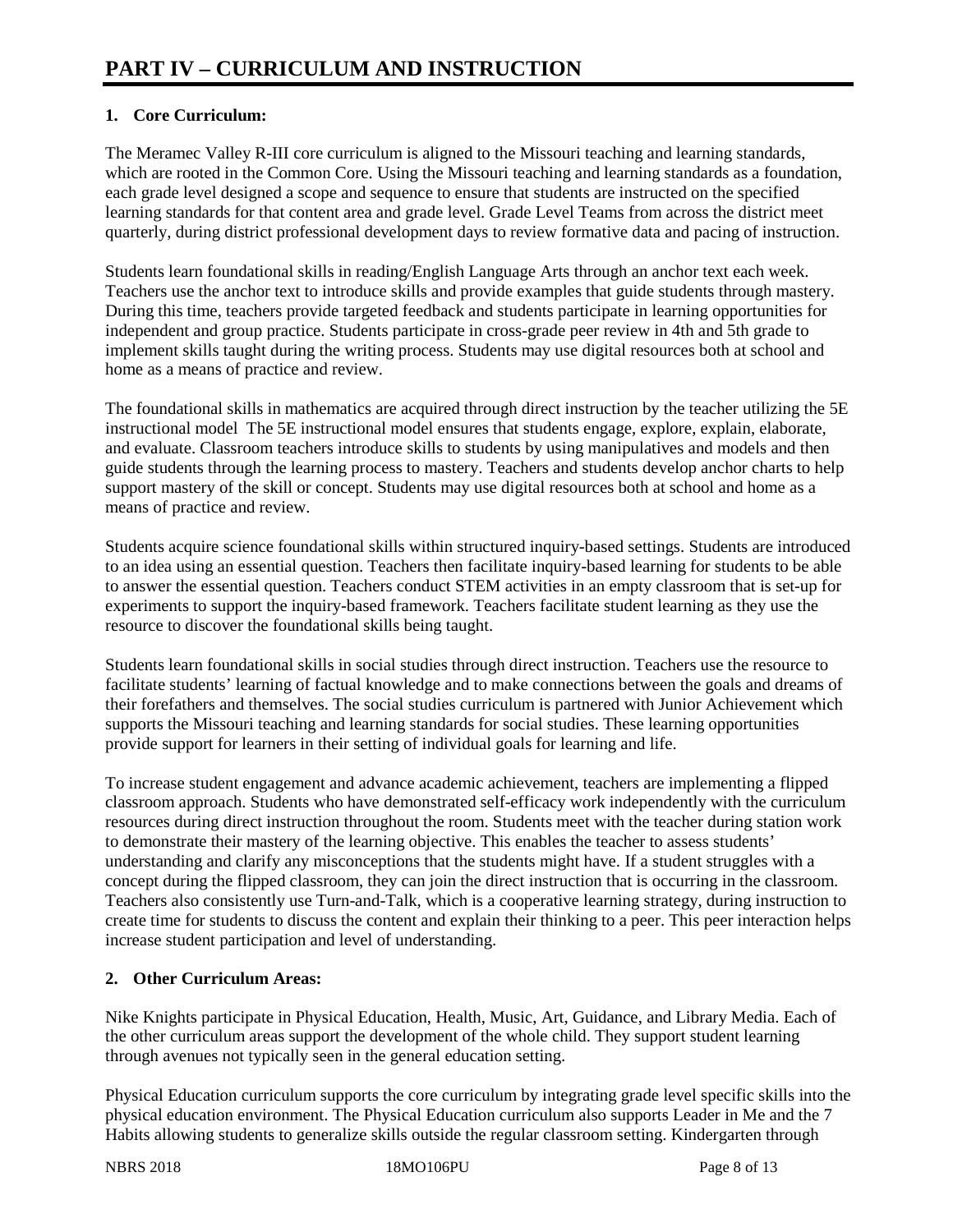## **1. Core Curriculum:**

The Meramec Valley R-III core curriculum is aligned to the Missouri teaching and learning standards, which are rooted in the Common Core. Using the Missouri teaching and learning standards as a foundation, each grade level designed a scope and sequence to ensure that students are instructed on the specified learning standards for that content area and grade level. Grade Level Teams from across the district meet quarterly, during district professional development days to review formative data and pacing of instruction.

Students learn foundational skills in reading/English Language Arts through an anchor text each week. Teachers use the anchor text to introduce skills and provide examples that guide students through mastery. During this time, teachers provide targeted feedback and students participate in learning opportunities for independent and group practice. Students participate in cross-grade peer review in 4th and 5th grade to implement skills taught during the writing process. Students may use digital resources both at school and home as a means of practice and review.

The foundational skills in mathematics are acquired through direct instruction by the teacher utilizing the 5E instructional model The 5E instructional model ensures that students engage, explore, explain, elaborate, and evaluate. Classroom teachers introduce skills to students by using manipulatives and models and then guide students through the learning process to mastery. Teachers and students develop anchor charts to help support mastery of the skill or concept. Students may use digital resources both at school and home as a means of practice and review.

Students acquire science foundational skills within structured inquiry-based settings. Students are introduced to an idea using an essential question. Teachers then facilitate inquiry-based learning for students to be able to answer the essential question. Teachers conduct STEM activities in an empty classroom that is set-up for experiments to support the inquiry-based framework. Teachers facilitate student learning as they use the resource to discover the foundational skills being taught.

Students learn foundational skills in social studies through direct instruction. Teachers use the resource to facilitate students' learning of factual knowledge and to make connections between the goals and dreams of their forefathers and themselves. The social studies curriculum is partnered with Junior Achievement which supports the Missouri teaching and learning standards for social studies. These learning opportunities provide support for learners in their setting of individual goals for learning and life.

To increase student engagement and advance academic achievement, teachers are implementing a flipped classroom approach. Students who have demonstrated self-efficacy work independently with the curriculum resources during direct instruction throughout the room. Students meet with the teacher during station work to demonstrate their mastery of the learning objective. This enables the teacher to assess students' understanding and clarify any misconceptions that the students might have. If a student struggles with a concept during the flipped classroom, they can join the direct instruction that is occurring in the classroom. Teachers also consistently use Turn-and-Talk, which is a cooperative learning strategy, during instruction to create time for students to discuss the content and explain their thinking to a peer. This peer interaction helps increase student participation and level of understanding.

### **2. Other Curriculum Areas:**

Nike Knights participate in Physical Education, Health, Music, Art, Guidance, and Library Media. Each of the other curriculum areas support the development of the whole child. They support student learning through avenues not typically seen in the general education setting.

Physical Education curriculum supports the core curriculum by integrating grade level specific skills into the physical education environment. The Physical Education curriculum also supports Leader in Me and the 7 Habits allowing students to generalize skills outside the regular classroom setting. Kindergarten through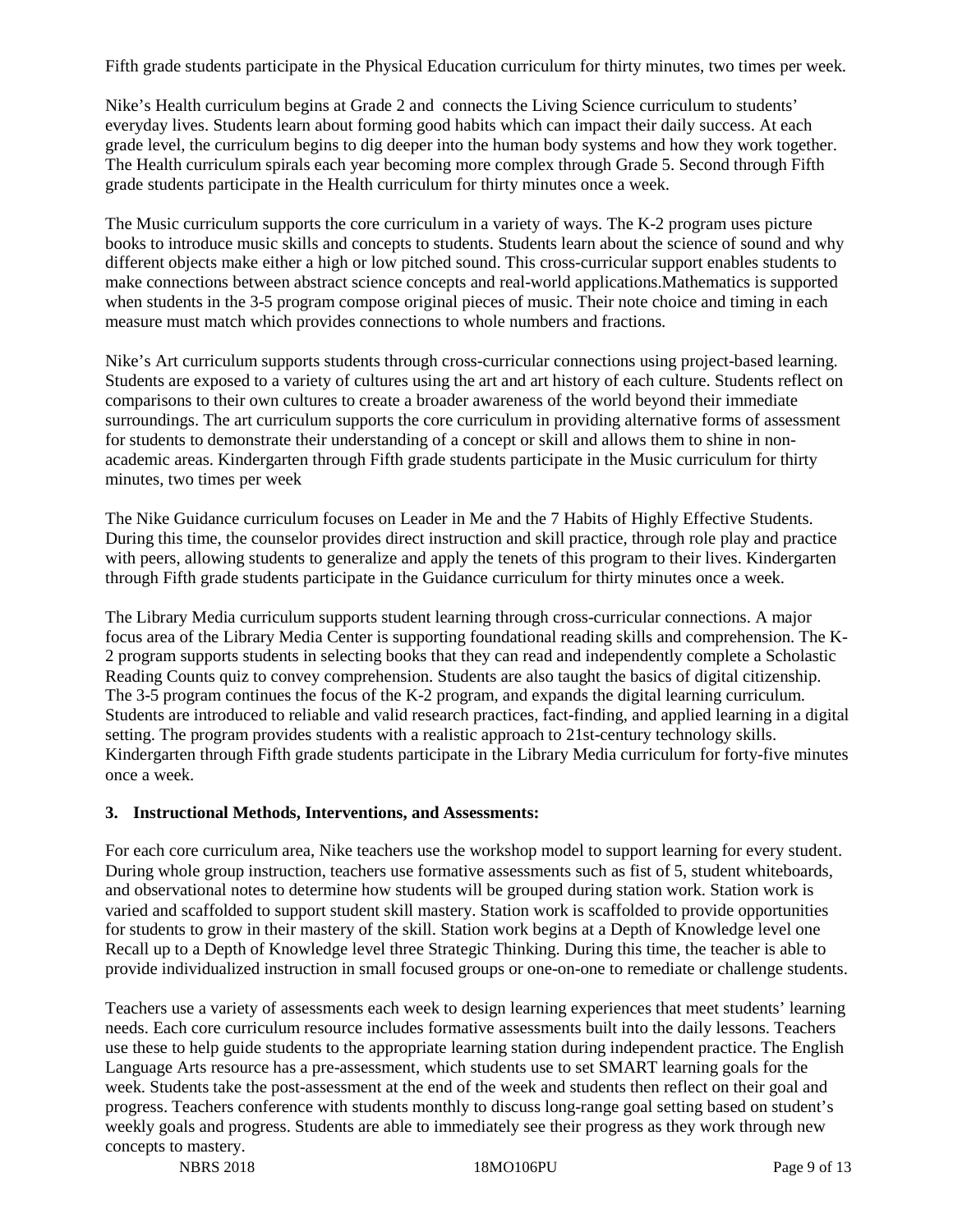Fifth grade students participate in the Physical Education curriculum for thirty minutes, two times per week.

Nike's Health curriculum begins at Grade 2 and connects the Living Science curriculum to students' everyday lives. Students learn about forming good habits which can impact their daily success. At each grade level, the curriculum begins to dig deeper into the human body systems and how they work together. The Health curriculum spirals each year becoming more complex through Grade 5. Second through Fifth grade students participate in the Health curriculum for thirty minutes once a week.

The Music curriculum supports the core curriculum in a variety of ways. The K-2 program uses picture books to introduce music skills and concepts to students. Students learn about the science of sound and why different objects make either a high or low pitched sound. This cross-curricular support enables students to make connections between abstract science concepts and real-world applications.Mathematics is supported when students in the 3-5 program compose original pieces of music. Their note choice and timing in each measure must match which provides connections to whole numbers and fractions.

Nike's Art curriculum supports students through cross-curricular connections using project-based learning. Students are exposed to a variety of cultures using the art and art history of each culture. Students reflect on comparisons to their own cultures to create a broader awareness of the world beyond their immediate surroundings. The art curriculum supports the core curriculum in providing alternative forms of assessment for students to demonstrate their understanding of a concept or skill and allows them to shine in nonacademic areas. Kindergarten through Fifth grade students participate in the Music curriculum for thirty minutes, two times per week

The Nike Guidance curriculum focuses on Leader in Me and the 7 Habits of Highly Effective Students. During this time, the counselor provides direct instruction and skill practice, through role play and practice with peers, allowing students to generalize and apply the tenets of this program to their lives. Kindergarten through Fifth grade students participate in the Guidance curriculum for thirty minutes once a week.

The Library Media curriculum supports student learning through cross-curricular connections. A major focus area of the Library Media Center is supporting foundational reading skills and comprehension. The K-2 program supports students in selecting books that they can read and independently complete a Scholastic Reading Counts quiz to convey comprehension. Students are also taught the basics of digital citizenship. The 3-5 program continues the focus of the K-2 program, and expands the digital learning curriculum. Students are introduced to reliable and valid research practices, fact-finding, and applied learning in a digital setting. The program provides students with a realistic approach to 21st-century technology skills. Kindergarten through Fifth grade students participate in the Library Media curriculum for forty-five minutes once a week.

#### **3. Instructional Methods, Interventions, and Assessments:**

For each core curriculum area, Nike teachers use the workshop model to support learning for every student. During whole group instruction, teachers use formative assessments such as fist of 5, student whiteboards, and observational notes to determine how students will be grouped during station work. Station work is varied and scaffolded to support student skill mastery. Station work is scaffolded to provide opportunities for students to grow in their mastery of the skill. Station work begins at a Depth of Knowledge level one Recall up to a Depth of Knowledge level three Strategic Thinking. During this time, the teacher is able to provide individualized instruction in small focused groups or one-on-one to remediate or challenge students.

Teachers use a variety of assessments each week to design learning experiences that meet students' learning needs. Each core curriculum resource includes formative assessments built into the daily lessons. Teachers use these to help guide students to the appropriate learning station during independent practice. The English Language Arts resource has a pre-assessment, which students use to set SMART learning goals for the week. Students take the post-assessment at the end of the week and students then reflect on their goal and progress. Teachers conference with students monthly to discuss long-range goal setting based on student's weekly goals and progress. Students are able to immediately see their progress as they work through new concepts to mastery.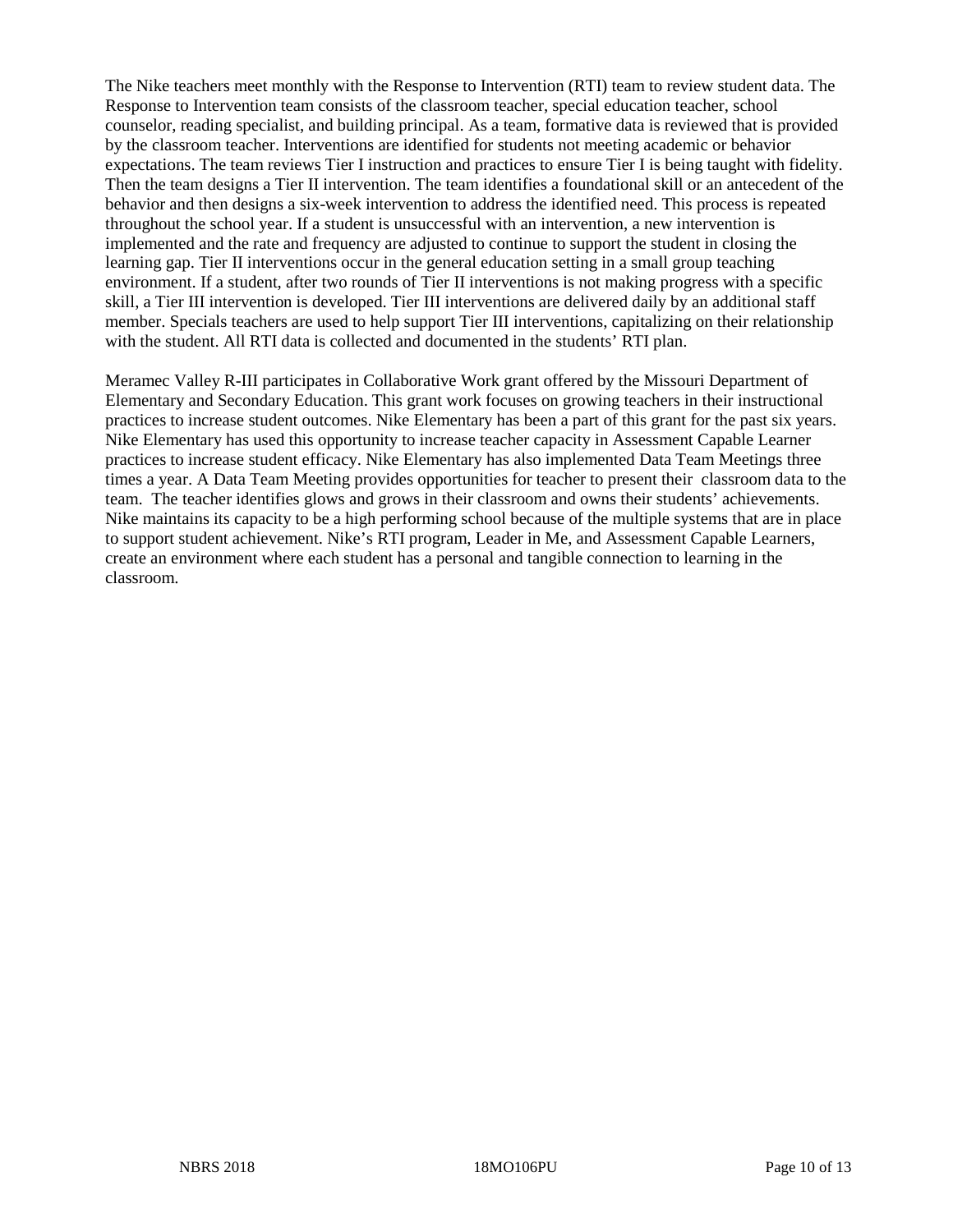The Nike teachers meet monthly with the Response to Intervention (RTI) team to review student data. The Response to Intervention team consists of the classroom teacher, special education teacher, school counselor, reading specialist, and building principal. As a team, formative data is reviewed that is provided by the classroom teacher. Interventions are identified for students not meeting academic or behavior expectations. The team reviews Tier I instruction and practices to ensure Tier I is being taught with fidelity. Then the team designs a Tier II intervention. The team identifies a foundational skill or an antecedent of the behavior and then designs a six-week intervention to address the identified need. This process is repeated throughout the school year. If a student is unsuccessful with an intervention, a new intervention is implemented and the rate and frequency are adjusted to continue to support the student in closing the learning gap. Tier II interventions occur in the general education setting in a small group teaching environment. If a student, after two rounds of Tier II interventions is not making progress with a specific skill, a Tier III intervention is developed. Tier III interventions are delivered daily by an additional staff member. Specials teachers are used to help support Tier III interventions, capitalizing on their relationship with the student. All RTI data is collected and documented in the students' RTI plan.

Meramec Valley R-III participates in Collaborative Work grant offered by the Missouri Department of Elementary and Secondary Education. This grant work focuses on growing teachers in their instructional practices to increase student outcomes. Nike Elementary has been a part of this grant for the past six years. Nike Elementary has used this opportunity to increase teacher capacity in Assessment Capable Learner practices to increase student efficacy. Nike Elementary has also implemented Data Team Meetings three times a year. A Data Team Meeting provides opportunities for teacher to present their classroom data to the team. The teacher identifies glows and grows in their classroom and owns their students' achievements. Nike maintains its capacity to be a high performing school because of the multiple systems that are in place to support student achievement. Nike's RTI program, Leader in Me, and Assessment Capable Learners, create an environment where each student has a personal and tangible connection to learning in the classroom.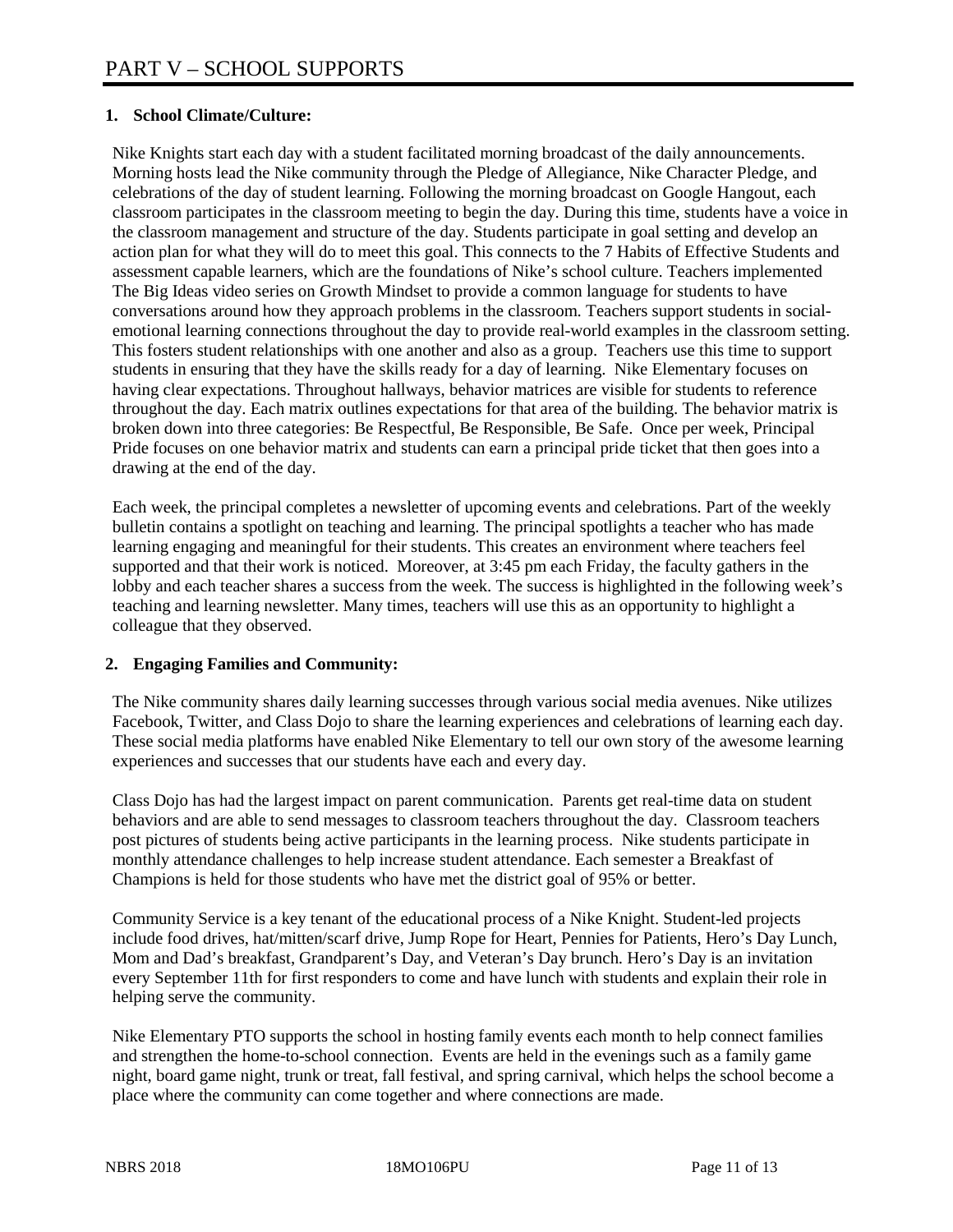#### **1. School Climate/Culture:**

Nike Knights start each day with a student facilitated morning broadcast of the daily announcements. Morning hosts lead the Nike community through the Pledge of Allegiance, Nike Character Pledge, and celebrations of the day of student learning. Following the morning broadcast on Google Hangout, each classroom participates in the classroom meeting to begin the day. During this time, students have a voice in the classroom management and structure of the day. Students participate in goal setting and develop an action plan for what they will do to meet this goal. This connects to the 7 Habits of Effective Students and assessment capable learners, which are the foundations of Nike's school culture. Teachers implemented The Big Ideas video series on Growth Mindset to provide a common language for students to have conversations around how they approach problems in the classroom. Teachers support students in socialemotional learning connections throughout the day to provide real-world examples in the classroom setting. This fosters student relationships with one another and also as a group. Teachers use this time to support students in ensuring that they have the skills ready for a day of learning. Nike Elementary focuses on having clear expectations. Throughout hallways, behavior matrices are visible for students to reference throughout the day. Each matrix outlines expectations for that area of the building. The behavior matrix is broken down into three categories: Be Respectful, Be Responsible, Be Safe. Once per week, Principal Pride focuses on one behavior matrix and students can earn a principal pride ticket that then goes into a drawing at the end of the day.

Each week, the principal completes a newsletter of upcoming events and celebrations. Part of the weekly bulletin contains a spotlight on teaching and learning. The principal spotlights a teacher who has made learning engaging and meaningful for their students. This creates an environment where teachers feel supported and that their work is noticed. Moreover, at 3:45 pm each Friday, the faculty gathers in the lobby and each teacher shares a success from the week. The success is highlighted in the following week's teaching and learning newsletter. Many times, teachers will use this as an opportunity to highlight a colleague that they observed.

#### **2. Engaging Families and Community:**

The Nike community shares daily learning successes through various social media avenues. Nike utilizes Facebook, Twitter, and Class Dojo to share the learning experiences and celebrations of learning each day. These social media platforms have enabled Nike Elementary to tell our own story of the awesome learning experiences and successes that our students have each and every day.

Class Dojo has had the largest impact on parent communication. Parents get real-time data on student behaviors and are able to send messages to classroom teachers throughout the day. Classroom teachers post pictures of students being active participants in the learning process. Nike students participate in monthly attendance challenges to help increase student attendance. Each semester a Breakfast of Champions is held for those students who have met the district goal of 95% or better.

Community Service is a key tenant of the educational process of a Nike Knight. Student-led projects include food drives, hat/mitten/scarf drive, Jump Rope for Heart, Pennies for Patients, Hero's Day Lunch, Mom and Dad's breakfast, Grandparent's Day, and Veteran's Day brunch. Hero's Day is an invitation every September 11th for first responders to come and have lunch with students and explain their role in helping serve the community.

Nike Elementary PTO supports the school in hosting family events each month to help connect families and strengthen the home-to-school connection. Events are held in the evenings such as a family game night, board game night, trunk or treat, fall festival, and spring carnival, which helps the school become a place where the community can come together and where connections are made.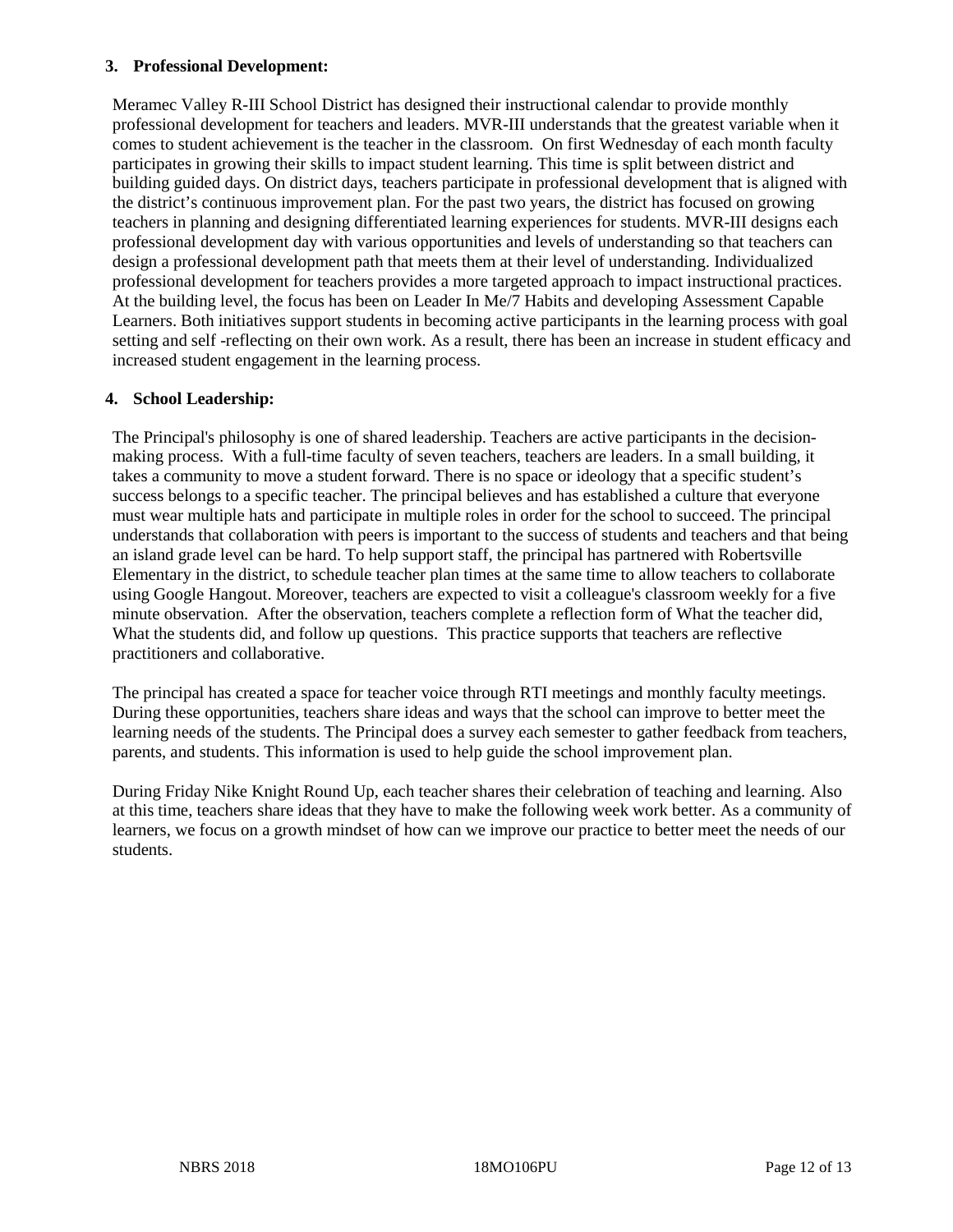#### **3. Professional Development:**

Meramec Valley R-III School District has designed their instructional calendar to provide monthly professional development for teachers and leaders. MVR-III understands that the greatest variable when it comes to student achievement is the teacher in the classroom. On first Wednesday of each month faculty participates in growing their skills to impact student learning. This time is split between district and building guided days. On district days, teachers participate in professional development that is aligned with the district's continuous improvement plan. For the past two years, the district has focused on growing teachers in planning and designing differentiated learning experiences for students. MVR-III designs each professional development day with various opportunities and levels of understanding so that teachers can design a professional development path that meets them at their level of understanding. Individualized professional development for teachers provides a more targeted approach to impact instructional practices. At the building level, the focus has been on Leader In Me/7 Habits and developing Assessment Capable Learners. Both initiatives support students in becoming active participants in the learning process with goal setting and self -reflecting on their own work. As a result, there has been an increase in student efficacy and increased student engagement in the learning process.

#### **4. School Leadership:**

The Principal's philosophy is one of shared leadership. Teachers are active participants in the decisionmaking process. With a full-time faculty of seven teachers, teachers are leaders. In a small building, it takes a community to move a student forward. There is no space or ideology that a specific student's success belongs to a specific teacher. The principal believes and has established a culture that everyone must wear multiple hats and participate in multiple roles in order for the school to succeed. The principal understands that collaboration with peers is important to the success of students and teachers and that being an island grade level can be hard. To help support staff, the principal has partnered with Robertsville Elementary in the district, to schedule teacher plan times at the same time to allow teachers to collaborate using Google Hangout. Moreover, teachers are expected to visit a colleague's classroom weekly for a five minute observation. After the observation, teachers complete a reflection form of What the teacher did, What the students did, and follow up questions. This practice supports that teachers are reflective practitioners and collaborative.

The principal has created a space for teacher voice through RTI meetings and monthly faculty meetings. During these opportunities, teachers share ideas and ways that the school can improve to better meet the learning needs of the students. The Principal does a survey each semester to gather feedback from teachers, parents, and students. This information is used to help guide the school improvement plan.

During Friday Nike Knight Round Up, each teacher shares their celebration of teaching and learning. Also at this time, teachers share ideas that they have to make the following week work better. As a community of learners, we focus on a growth mindset of how can we improve our practice to better meet the needs of our students.